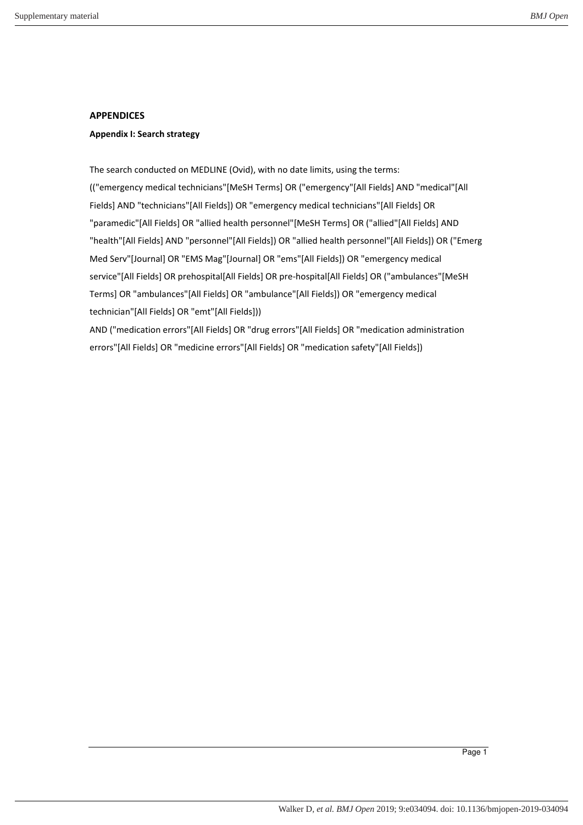## **APPENDICES**

## **Appendix I: Search strategy**

The search conducted on MEDLINE (Ovid), with no date limits, using the terms: (("emergency medical technicians"[MeSH Terms] OR ("emergency"[All Fields] AND "medical"[All Fields] AND "technicians"[All Fields]) OR "emergency medical technicians"[All Fields] OR "paramedic"[All Fields] OR "allied health personnel"[MeSH Terms] OR ("allied"[All Fields] AND "health"[All Fields] AND "personnel"[All Fields]) OR "allied health personnel"[All Fields]) OR ("Emerg Med Serv"[Journal] OR "EMS Mag"[Journal] OR "ems"[All Fields]) OR "emergency medical service"[All Fields] OR prehospital[All Fields] OR pre-hospital[All Fields] OR ("ambulances"[MeSH Terms] OR "ambulances"[All Fields] OR "ambulance"[All Fields]) OR "emergency medical technician"[All Fields] OR "emt"[All Fields]))

AND ("medication errors"[All Fields] OR "drug errors"[All Fields] OR "medication administration errors"[All Fields] OR "medicine errors"[All Fields] OR "medication safety"[All Fields])